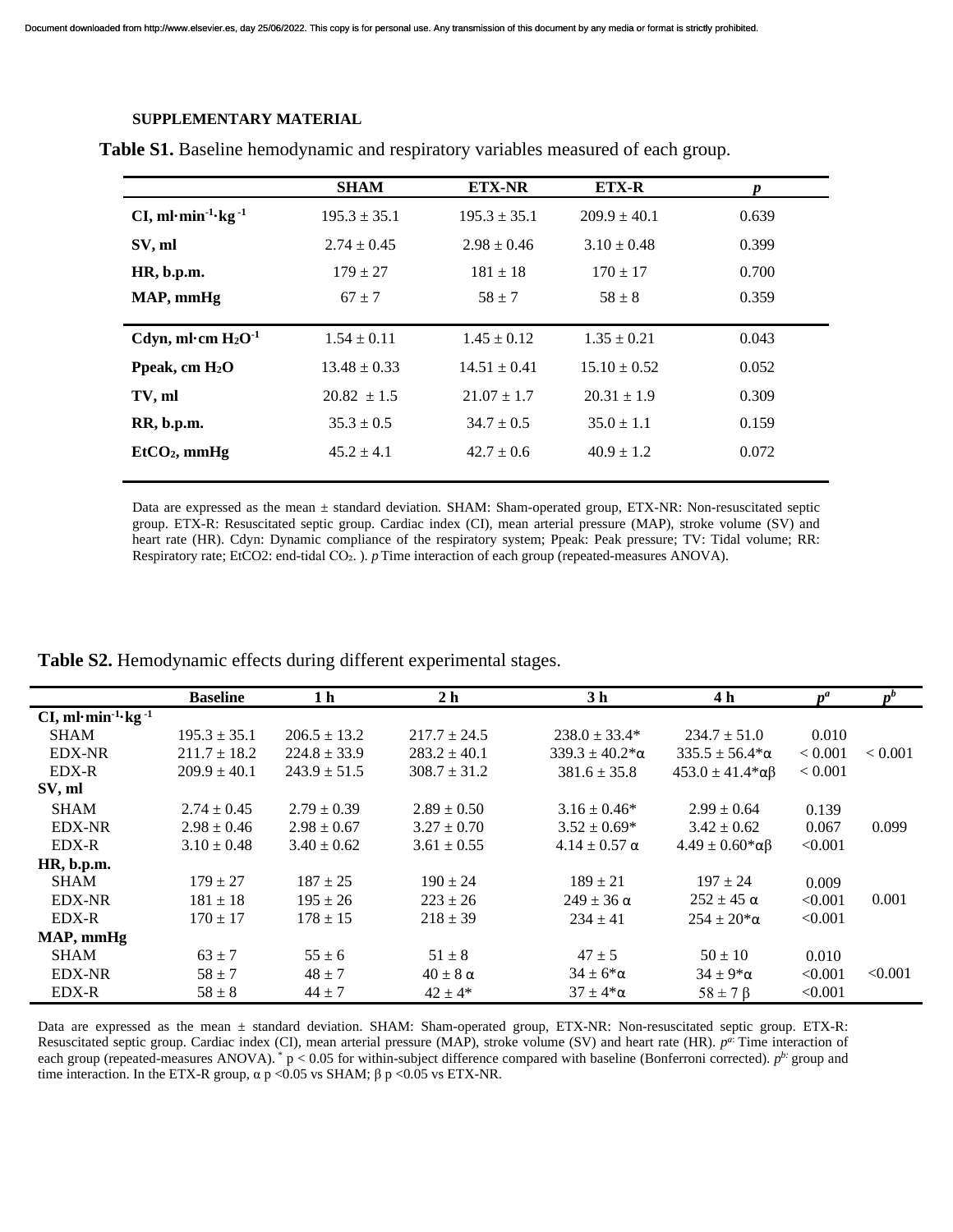## **SUPPLEMENTARY MATERIAL**

|                         | <b>SHAM</b>      | <b>ETX-NR</b>    | <b>ETX-R</b>     | Ŋ     |  |
|-------------------------|------------------|------------------|------------------|-------|--|
| $CI, ml·min-1·kg-1$     | $195.3 \pm 35.1$ | $195.3 \pm 35.1$ | $209.9 \pm 40.1$ | 0.639 |  |
| SV, ml                  | $2.74 \pm 0.45$  | $2.98 \pm 0.46$  | $3.10 \pm 0.48$  | 0.399 |  |
| HR, b.p.m.              | $179 \pm 27$     | $181 \pm 18$     | $170 \pm 17$     | 0.700 |  |
| MAP, mmHg               | $67 + 7$         | $58 + 7$         | $58 \pm 8$       | 0.359 |  |
| Cdyn, ml·cm $H_2O^{-1}$ | $1.54 \pm 0.11$  | $1.45 \pm 0.12$  | $1.35 \pm 0.21$  | 0.043 |  |
| Ppeak, cm $H_2O$        | $13.48 \pm 0.33$ | $14.51 \pm 0.41$ | $15.10 \pm 0.52$ | 0.052 |  |
| TV, ml                  | $20.82 \pm 1.5$  | $21.07 \pm 1.7$  | $20.31 \pm 1.9$  | 0.309 |  |
| RR, b.p.m.              | $35.3 \pm 0.5$   | $34.7 \pm 0.5$   | $35.0 \pm 1.1$   | 0.159 |  |
| $EtCO2$ , mmHg          | $45.2 \pm 4.1$   | $42.7 \pm 0.6$   | $40.9 \pm 1.2$   | 0.072 |  |
|                         |                  |                  |                  |       |  |

**Table S1.** Baseline hemodynamic and respiratory variables measured of each group.

Data are expressed as the mean ± standard deviation. SHAM: Sham-operated group, ETX-NR: Non-resuscitated septic group. ETX-R: Resuscitated septic group. Cardiac index (CI), mean arterial pressure (MAP), stroke volume (SV) and heart rate (HR). Cdyn: Dynamic compliance of the respiratory system; Ppeak: Peak pressure; TV: Tidal volume; RR: Respiratory rate; EtCO2: end-tidal CO<sub>2</sub>. ). *p* Time interaction of each group (repeated-measures ANOVA).

|                                            | <b>Baseline</b>  | 1 h              | 2 <sub>h</sub>    | 3 <sub>h</sub>            | 4 h                            | $n^a$       | $n^{b}$        |
|--------------------------------------------|------------------|------------------|-------------------|---------------------------|--------------------------------|-------------|----------------|
| CI, ml·min <sup>-1</sup> ·kg <sup>-1</sup> |                  |                  |                   |                           |                                |             |                |
| <b>SHAM</b>                                | $195.3 \pm 35.1$ | $206.5 \pm 13.2$ | $217.7 \pm 24.5$  | $238.0 \pm 33.4*$         | $234.7 \pm 51.0$               | 0.010       |                |
| <b>EDX-NR</b>                              | $211.7 \pm 18.2$ | $224.8 \pm 33.9$ | $283.2 \pm 40.1$  | $339.3 \pm 40.2^* \alpha$ | $335.5 \pm 56.4*$ $\alpha$     | ${}< 0.001$ | ${}_{< 0.001}$ |
| EDX-R                                      | $209.9 \pm 40.1$ | $243.9 \pm 51.5$ | $308.7 \pm 31.2$  | $381.6 \pm 35.8$          | $453.0 \pm 41.4* \alpha \beta$ | ${}< 0.001$ |                |
| SV, ml                                     |                  |                  |                   |                           |                                |             |                |
| <b>SHAM</b>                                | $2.74 \pm 0.45$  | $2.79 \pm 0.39$  | $2.89 \pm 0.50$   | $3.16 \pm 0.46^*$         | $2.99 \pm 0.64$                | 0.139       |                |
| <b>EDX-NR</b>                              | $2.98 \pm 0.46$  | $2.98 \pm 0.67$  | $3.27 \pm 0.70$   | $3.52 \pm 0.69*$          | $3.42 \pm 0.62$                | 0.067       | 0.099          |
| EDX-R                                      | $3.10 \pm 0.48$  | $3.40 \pm 0.62$  | $3.61 \pm 0.55$   | $4.14 \pm 0.57 \alpha$    | $4.49 \pm 0.60* \alpha \beta$  | < 0.001     |                |
| HR, b.p.m.                                 |                  |                  |                   |                           |                                |             |                |
| <b>SHAM</b>                                | $179 \pm 27$     | $187 + 25$       | $190 \pm 24$      | $189 \pm 21$              | $197 \pm 24$                   | 0.009       |                |
| <b>EDX-NR</b>                              | $181 \pm 18$     | $195 \pm 26$     | $223 + 26$        | $249 \pm 36 \alpha$       | $252 \pm 45 \alpha$            | < 0.001     | 0.001          |
| EDX-R                                      | $170 \pm 17$     | $178 \pm 15$     | $218 \pm 39$      | $234 + 41$                | $254 \pm 20^* \alpha$          | < 0.001     |                |
| MAP, mmHg                                  |                  |                  |                   |                           |                                |             |                |
| <b>SHAM</b>                                | $63 + 7$         | $55 \pm 6$       | $51 \pm 8$        | $47 \pm 5$                | $50 \pm 10$                    | 0.010       |                |
| <b>EDX-NR</b>                              | $58 \pm 7$       | $48 \pm 7$       | $40 \pm 8 \alpha$ | $34 \pm 6^{\ast} \alpha$  | $34 \pm 9^{\ast} \alpha$       | < 0.001     | < 0.001        |
| EDX-R                                      | $58 \pm 8$       | $44 \pm 7$       | $42 \pm 4*$       | $37 \pm 4* \alpha$        | $58 \pm 7 \beta$               | < 0.001     |                |

**Table S2.** Hemodynamic effects during different experimental stages.

Data are expressed as the mean ± standard deviation. SHAM: Sham-operated group, ETX-NR: Non-resuscitated septic group. ETX-R: Resuscitated septic group. Cardiac index (CI), mean arterial pressure (MAP), stroke volume (SV) and heart rate (HR).  $p^{a}$  Time interaction of each group (repeated-measures ANOVA). \* p < 0.05 for within-subject difference compared with baseline (Bonferroni corrected). *pb:* group and time interaction. In the ETX-R group,  $\alpha$  p <0.05 vs SHAM;  $\beta$  p <0.05 vs ETX-NR.